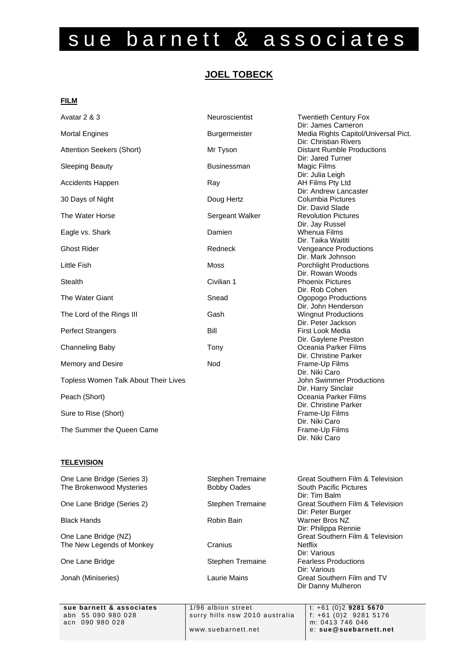# sue barnett & associates

# **JOEL TOBECK**

# **FILM**

| Avatar 2 & 3                         | Neuroscientist     | <b>Twentieth Century Fox</b>         |
|--------------------------------------|--------------------|--------------------------------------|
|                                      |                    | Dir: James Cameron                   |
| <b>Mortal Engines</b>                | Burgermeister      | Media Rights Capitol/Universal Pict. |
|                                      |                    | Dir: Christian Rivers                |
| Attention Seekers (Short)            | Mr Tyson           | <b>Distant Rumble Productions</b>    |
|                                      |                    | Dir: Jared Turner                    |
| <b>Sleeping Beauty</b>               | <b>Businessman</b> | Magic Films                          |
|                                      |                    | Dir: Julia Leigh                     |
| <b>Accidents Happen</b>              | Ray                | AH Films Pty Ltd                     |
|                                      |                    | Dir: Andrew Lancaster                |
| 30 Days of Night                     | Doug Hertz         | Columbia Pictures                    |
|                                      |                    | Dir. David Slade                     |
| The Water Horse                      | Sergeant Walker    | <b>Revolution Pictures</b>           |
|                                      |                    | Dir. Jay Russel                      |
| Eagle vs. Shark                      | Damien             | <b>Whenua Films</b>                  |
|                                      |                    | Dir. Taika Waititi                   |
| <b>Ghost Rider</b>                   | Redneck            | Vengeance Productions                |
|                                      |                    | Dir. Mark Johnson                    |
| Little Fish                          | <b>Moss</b>        | <b>Porchlight Productions</b>        |
|                                      |                    | Dir. Rowan Woods                     |
| <b>Stealth</b>                       | Civilian 1         | <b>Phoenix Pictures</b>              |
|                                      |                    | Dir. Rob Cohen                       |
| The Water Giant                      | Snead              | Ogopogo Productions                  |
|                                      |                    | Dir. John Henderson                  |
| The Lord of the Rings III            | Gash               | <b>Wingnut Productions</b>           |
|                                      |                    | Dir. Peter Jackson                   |
| <b>Perfect Strangers</b>             | Bill               | First Look Media                     |
|                                      |                    | Dir. Gaylene Preston                 |
| Channeling Baby                      | Tony               | Oceania Parker Films                 |
|                                      |                    | Dir. Christine Parker                |
| Memory and Desire                    | Nod                | Frame-Up Films                       |
|                                      |                    | Dir. Niki Caro                       |
| Topless Women Talk About Their Lives |                    | John Swimmer Productions             |
|                                      |                    | Dir. Harry Sinclair                  |
| Peach (Short)                        |                    | Oceania Parker Films                 |
|                                      |                    | Dir. Christine Parker                |
| Sure to Rise (Short)                 |                    | Frame-Up Films                       |
|                                      |                    | Dir. Niki Caro                       |
| The Summer the Queen Came            |                    | Frame-Up Films                       |
|                                      |                    | Dir. Niki Caro                       |
|                                      |                    |                                      |

# **TELEVISION**

| One Lane Bridge (Series 3) | Stephen Tremaine   | <b>Great Southern Film &amp; Television</b> |
|----------------------------|--------------------|---------------------------------------------|
| The Brokenwood Mysteries   | <b>Bobby Oades</b> | <b>South Pacific Pictures</b>               |
|                            |                    | Dir: Tim Balm                               |
| One Lane Bridge (Series 2) | Stephen Tremaine   | Great Southern Film & Television            |
|                            |                    | Dir: Peter Burger                           |
| <b>Black Hands</b>         | Robin Bain         | Warner Bros NZ                              |
|                            |                    | Dir: Philippa Rennie                        |
| One Lane Bridge (NZ)       |                    | <b>Great Southern Film &amp; Television</b> |
| The New Legends of Monkey  | Cranius            | <b>Netflix</b>                              |
|                            |                    | Dir: Various                                |
| One Lane Bridge            | Stephen Tremaine   | <b>Fearless Productions</b>                 |
|                            |                    | Dir: Various                                |
| Jonah (Miniseries)         | Laurie Mains       | Great Southern Film and TV                  |
|                            |                    | Dir Danny Mulheron                          |

**sue barnett & associates** 1/96 albion street t: +61 (0)2 **9281 5670**<br>abn 55 090 980 028 surry hills nsw 2010 australia f: +61 (0)2 9281 5176 surry hills nsw 2010 australia  $\left| \begin{array}{cc} f: +61 & (0)2 & 9281 \\ m: 0413 & 746 & 046 \end{array} \right|$ www.suebarnett.net e: **sue@suebarnett.net**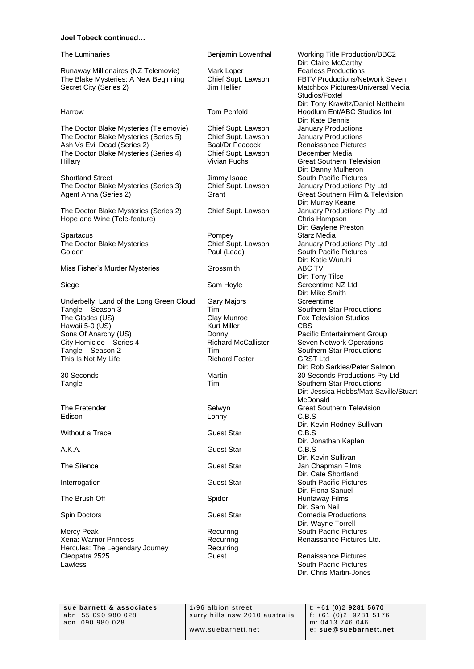### **Joel Tobeck continued…**

Runaway Millionaires (NZ Telemovie) Mark Loper Fearless Productions<br>The Blake Mysteries: A New Beginning Chief Supt. Lawson FBTV Productions/Network Seven The Blake Mysteries: A New Beginning Secret City (Series 2) **Jim Hellier** Matchbox Pictures/Universal Media

The Doctor Blake Mysteries (Telemovie) Chief Supt. Lawson January Productions<br>The Doctor Blake Mysteries (Series 5) Chief Supt. Lawson January Productions The Doctor Blake Mysteries (Series 5) Chief Supt. Lawson January Productions<br>
Ash Vs Evil Dead (Series 2) Baal/Dr Peacock Renaissance Pictures Ash Vs Evil Dead (Series 2) Baal/Dr Peacock Renaissance Pict<br>The Doctor Blake Mysteries (Series 4) Chief Supt. Lawson December Media The Doctor Blake Mysteries (Series 4) Chief Supt. Lawson Chief Supt. Lawson December 2014

Shortland Street **Superset South Pacific Pictures**<br>
The Doctor Blake Mysteries (Series 3) Chief Supt. Lawson January Productions Pty Ltd The Doctor Blake Mysteries (Series 3) Chief Supt. Lawson<br>Agent Anna (Series 2) Grant

The Doctor Blake Mysteries (Series 2) Chief Supt. Lawson January Productions Pty Ltd Hope and Wine (Tele-feature) Chris Hampson Chris Hampson

Spartacus **Pompey** Starz Media Golden **Paul (Lead)** South Pacific Pictures **Colden** South Pacific Pictures

Miss Fisher's Murder Mysteries **Grossmith** ABC TV

Underbelly: Land of the Long Green Cloud Gary Majors Screentime Tangle - Season 3 Tim Tim Southern Star Productions The Glades (US) The Glades (US) Clay Munroe Fox Television Studios<br>
Hawaii 5-0 (US) The Fox Television Studios<br>
Hawaii 5-0 (US) The Fox Television Studios Hawaii 5-0  $(US)$ Sons Of Anarchy (US) <br>City Homicide – Series 4 **Donny Pacific Entertainment Group**<br>Richard McCallister **Pacific Entertainment Operations** City Homicide – Series 4 **Richard McCallister** Seven Network Operations<br>
Tim Southern Star Productions<br>
Southern Star Productions This Is Not My Life **Richard Foster** GRST Ltd

Edison Lonny C.B.S

Without a Trace **Guest Star** Guest Star **C.B.S.** Guest Star **C.B.S.** 

Mercy Peak **Recurring South Pacific Pictures** Recurring South Pacific Pictures Xena: Warrior Princess The Recurring Recurring Renaissance Pictures Ltd. Hercules: The Legendary Journey Recurring Cleopatra 2525 Guest Renaissance Pictures **Lawless South Pacific Pictures South Pacific Pictures** 

A.K.A. Guest Star C.B.S

The Luminaries **Benjamin Lowenthal** Working Title Production/BBC2 Dir: Claire McCarthy Studios/Foxtel Dir: Tony Krawitz/Daniel Nettheim Harrow Tom Penfold Hoodlum Ent/ABC Studios Int Dir: Kate Dennis **Great Southern Television** Dir: Danny Mulheron Great Southern Film & Television Dir: Murray Keane Dir: Gaylene Preston The Doctor Blake Mysteries Chief Supt. Lawson January Productions Pty Ltd Dir: Katie Wuruhi Dir: Tony Tilse Siege Siege Sam Hoyle Sam Howle Screentime NZ Ltd Dir: Mike Smith Tim **Example 2 Tim Southern Star Productions** Dir: Rob Sarkies/Peter Salmon 30 Seconds Martin 30 Seconds Productions Pty Ltd Tangle Tangle The Tim Tim Southern Star Productions Dir: Jessica Hobbs/Matt Saville/Stuart McDonald (1999) and the control of the control of the control of the control of the control of the control of the control of the control of the control of the control of the control of the control of the control of the con The Pretender The Pretender Selwyn Selwyn Great Southern Television Dir. Kevin Rodney Sullivan Dir. Jonathan Kaplan Dir. Kevin Sullivan The Silence **Guest Star** Guest Star **Guest Star** Jan Chapman Films Dir. Cate Shortland **Interrogation Guest Star South Pacific Pictures Guest Star** South Pacific Pictures Dir. Fiona Sanuel The Brush Off **Spider** Spider Spider **Spider** Huntaway Films Dir. Sam Neil Spin Doctors Guest Star Comedia Productions Dir. Wayne Torrell

Dir. Chris Martin-Jones